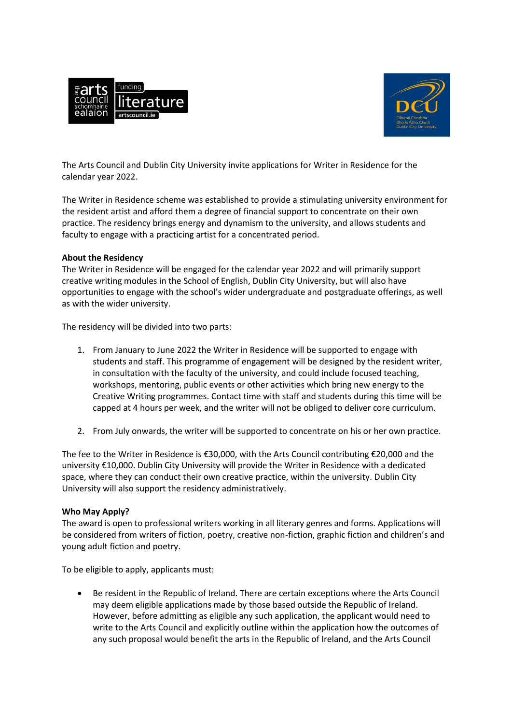



The Arts Council and Dublin City University invite applications for Writer in Residence for the calendar year 2022.

The Writer in Residence scheme was established to provide a stimulating university environment for the resident artist and afford them a degree of financial support to concentrate on their own practice. The residency brings energy and dynamism to the university, and allows students and faculty to engage with a practicing artist for a concentrated period.

## **About the Residency**

The Writer in Residence will be engaged for the calendar year 2022 and will primarily support creative writing modules in the School of English, Dublin City University, but will also have opportunities to engage with the school's wider undergraduate and postgraduate offerings, as well as with the wider university.

The residency will be divided into two parts:

- 1. From January to June 2022 the Writer in Residence will be supported to engage with students and staff. This programme of engagement will be designed by the resident writer, in consultation with the faculty of the university, and could include focused teaching, workshops, mentoring, public events or other activities which bring new energy to the Creative Writing programmes. Contact time with staff and students during this time will be capped at 4 hours per week, and the writer will not be obliged to deliver core curriculum.
- 2. From July onwards, the writer will be supported to concentrate on his or her own practice.

The fee to the Writer in Residence is €30,000, with the Arts Council contributing €20,000 and the university €10,000. Dublin City University will provide the Writer in Residence with a dedicated space, where they can conduct their own creative practice, within the university. Dublin City University will also support the residency administratively.

## **Who May Apply?**

The award is open to professional writers working in all literary genres and forms. Applications will be considered from writers of fiction, poetry, creative non-fiction, graphic fiction and children's and young adult fiction and poetry.

To be eligible to apply, applicants must:

 Be resident in the Republic of Ireland. There are certain exceptions where the Arts Council may deem eligible applications made by those based outside the Republic of Ireland. However, before admitting as eligible any such application, the applicant would need to write to the Arts Council and explicitly outline within the application how the outcomes of any such proposal would benefit the arts in the Republic of Ireland, and the Arts Council